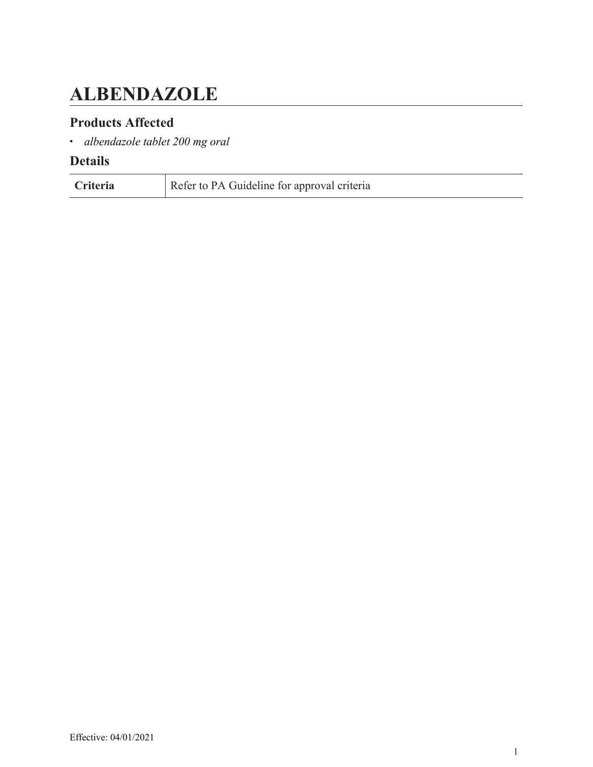# <span id="page-0-0"></span>**ALBENDAZOLE**

### **Products Affected**

• *albendazole tablet 200 mg oral*

| Criteria | Refer to PA Guideline for approval criteria |
|----------|---------------------------------------------|
|----------|---------------------------------------------|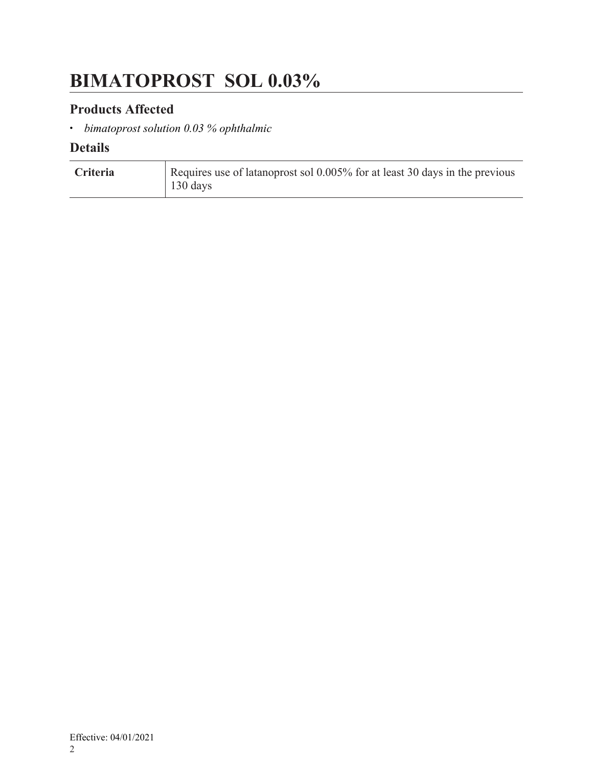# <span id="page-1-0"></span>**BIMATOPROST SOL 0.03%**

### **Products Affected**

• *bimatoprost solution 0.03 % ophthalmic*

| Criteria | Requires use of latanoprost sol 0.005% for at least 30 days in the previous |
|----------|-----------------------------------------------------------------------------|
|          | 130 days                                                                    |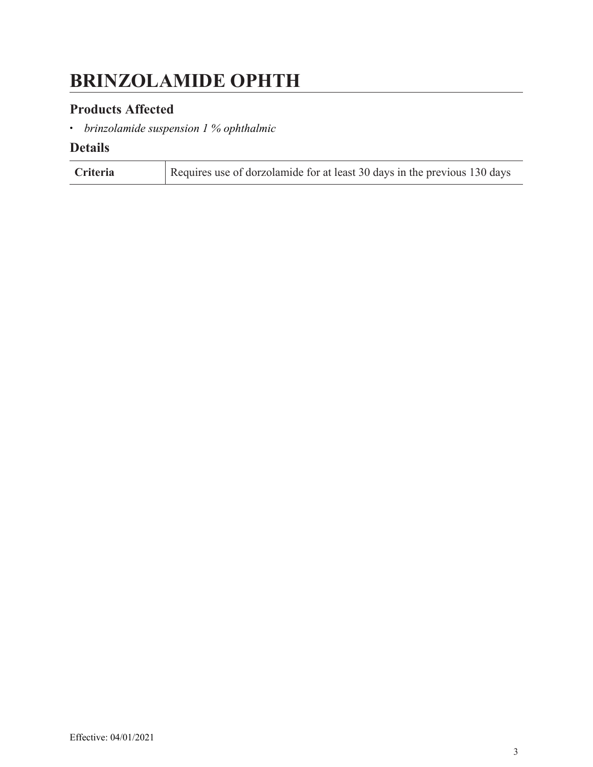# <span id="page-2-0"></span>**BRINZOLAMIDE OPHTH**

### **Products Affected**

• *brinzolamide suspension 1 % ophthalmic*

| Criteria | Requires use of dorzolamide for at least 30 days in the previous 130 days |
|----------|---------------------------------------------------------------------------|
|----------|---------------------------------------------------------------------------|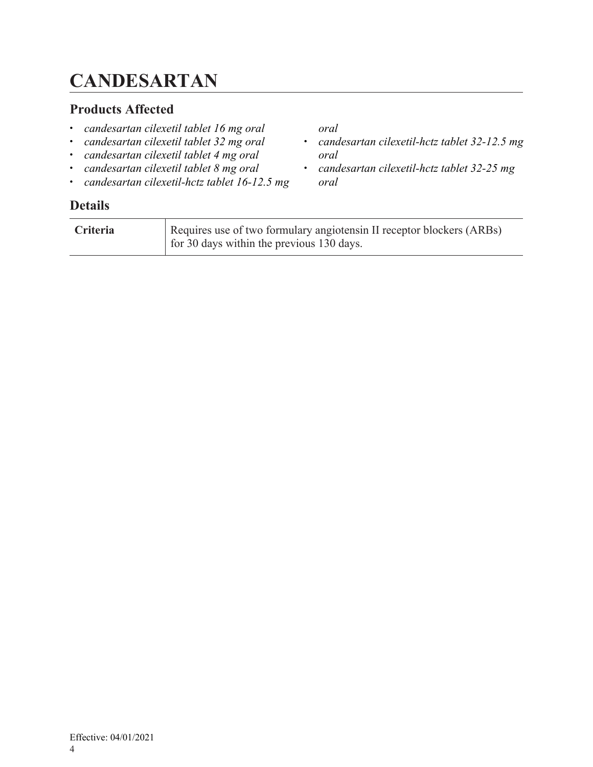# <span id="page-3-0"></span>**CANDESARTAN**

### **Products Affected**

- *candesartan cilexetil tablet 16 mg oral*
- *candesartan cilexetil tablet 32 mg oral*
- *candesartan cilexetil tablet 4 mg oral*
- *candesartan cilexetil tablet 8 mg oral*
- *candesartan cilexetil-hctz tablet 16-12.5 mg*

### **Details**

| <b>Criteria</b> | Requires use of two formulary angiotensin II receptor blockers (ARBs) |
|-----------------|-----------------------------------------------------------------------|
|                 | for 30 days within the previous 130 days.                             |

*oral*

*oral*

*oral*

• *candesartan cilexetil-hctz tablet 32-12.5 mg*

• *candesartan cilexetil-hctz tablet 32-25 mg*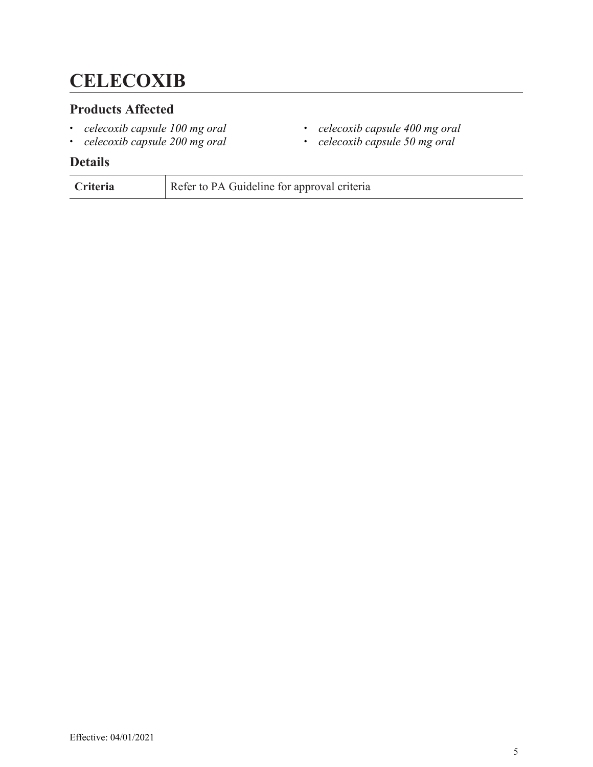# <span id="page-4-0"></span>**CELECOXIB**

### **Products Affected**

- *celecoxib capsule 100 mg oral*
- *celecoxib capsule 200 mg oral*
- **Details**
- **Criteria** Refer to PA Guideline for approval criteria

Effective: 04/01/2021

- *celecoxib capsule 400 mg oral*
- *celecoxib capsule 50 mg oral*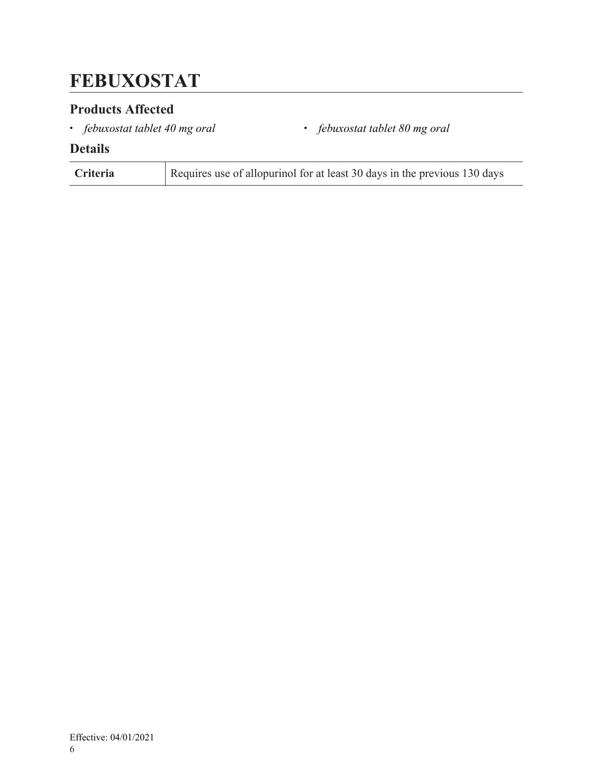### <span id="page-5-0"></span>**FEBUXOSTAT**

### **Products Affected**

• *febuxostat tablet 40 mg oral* • *febuxostat tablet 80 mg oral*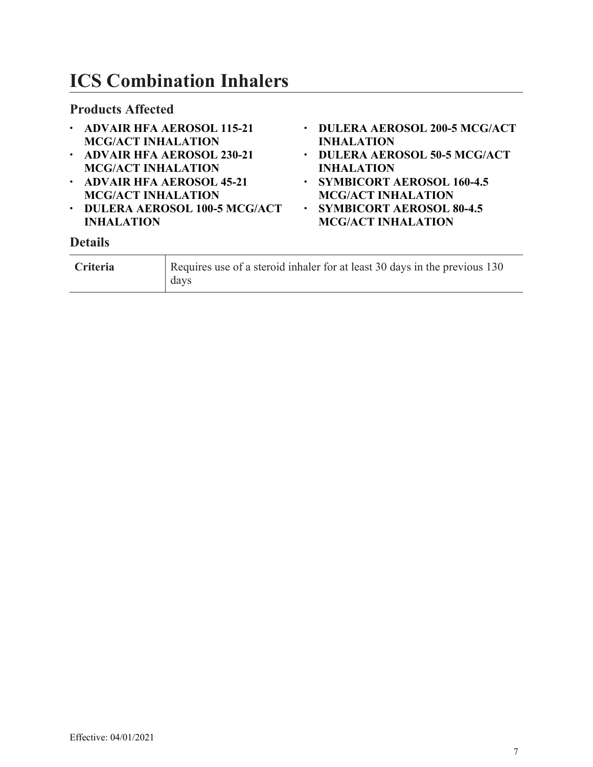# <span id="page-6-0"></span>**ICS Combination Inhalers**

#### **Products Affected**

- **ADVAIR HFA AEROSOL 115-21 MCG/ACT INHALATION**
- **ADVAIR HFA AEROSOL 230-21 MCG/ACT INHALATION**
- **ADVAIR HFA AEROSOL 45-21 MCG/ACT INHALATION**
- **DULERA AEROSOL 100-5 MCG/ACT INHALATION**
- **DULERA AEROSOL 200-5 MCG/ACT INHALATION**
- **DULERA AEROSOL 50-5 MCG/ACT INHALATION**
- **SYMBICORT AEROSOL 160-4.5 MCG/ACT INHALATION**
- **SYMBICORT AEROSOL 80-4.5 MCG/ACT INHALATION**

| <b>Criteria</b> | Requires use of a steroid inhaler for at least 30 days in the previous 130<br>days |
|-----------------|------------------------------------------------------------------------------------|
|-----------------|------------------------------------------------------------------------------------|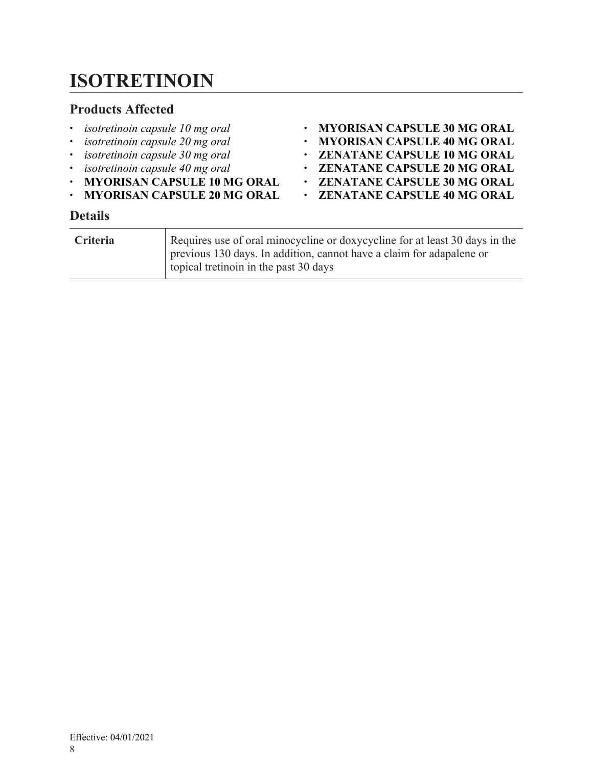# <span id="page-7-0"></span>**ISOTRETINOIN**

#### **Products Affected**

- *isotretinoin capsule 10 mg oral*
- *isotretinoin capsule 20 mg oral*
- *isotretinoin capsule 30 mg oral*
- *isotretinoin capsule 40 mg oral*
- **MYORISAN CAPSULE 10 MG ORAL**
- **MYORISAN CAPSULE 20 MG ORAL**

#### • **MYORISAN CAPSULE 30 MG ORAL**

- **MYORISAN CAPSULE 40 MG ORAL**
- **ZENATANE CAPSULE 10 MG ORAL**
- **ZENATANE CAPSULE 20 MG ORAL**
- **ZENATANE CAPSULE 30 MG ORAL**
- **ZENATANE CAPSULE 40 MG ORAL**

| <b>Criteria</b> | Requires use of oral minocycline or doxycycline for at least 30 days in the<br>previous 130 days. In addition, cannot have a claim for adapalene or<br>topical tretinoin in the past 30 days |
|-----------------|----------------------------------------------------------------------------------------------------------------------------------------------------------------------------------------------|
|-----------------|----------------------------------------------------------------------------------------------------------------------------------------------------------------------------------------------|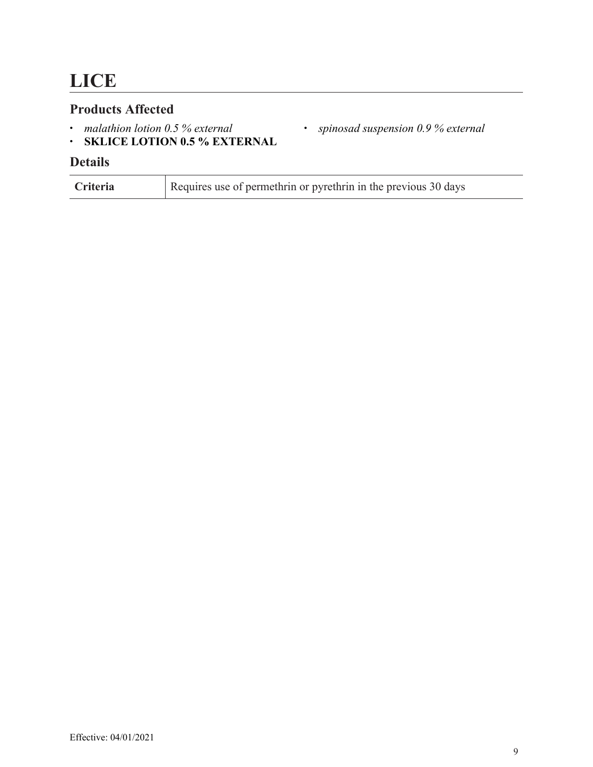### <span id="page-8-0"></span>**Products Affected**

- *malathion lotion 0.5 % external*
- **SKLICE LOTION 0.5 % EXTERNAL**

### **Details**

| Criteria | Requires use of permethrin or pyrethrin in the previous 30 days |
|----------|-----------------------------------------------------------------|
|----------|-----------------------------------------------------------------|

• *spinosad suspension 0.9 % external*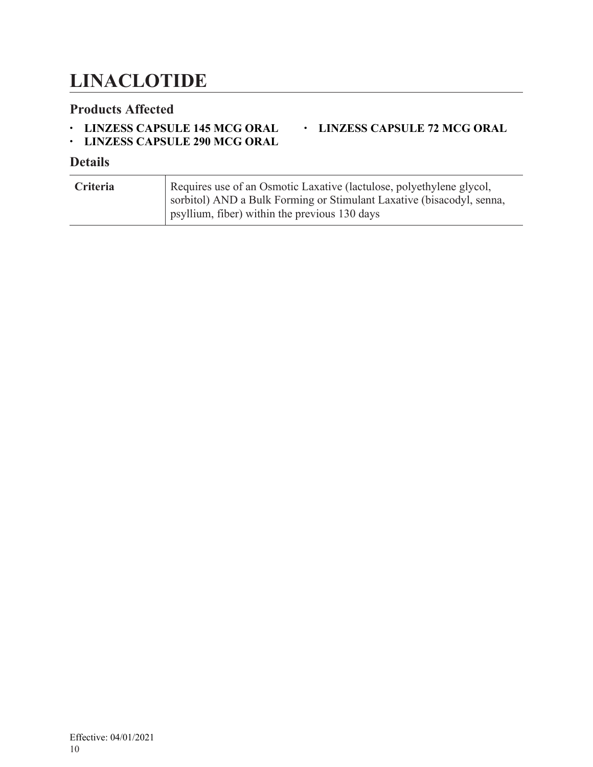### <span id="page-9-0"></span>**LINACLOTIDE**

#### **Products Affected**

• **LINZESS CAPSULE 145 MCG ORAL**

### • **LINZESS CAPSULE 72 MCG ORAL**

• **LINZESS CAPSULE 290 MCG ORAL**

| Criteria | Requires use of an Osmotic Laxative (lactulose, polyethylene glycol,<br>sorbitol) AND a Bulk Forming or Stimulant Laxative (bisacodyl, senna,<br>$\frac{1}{2}$ psyllium, fiber) within the previous 130 days |
|----------|--------------------------------------------------------------------------------------------------------------------------------------------------------------------------------------------------------------|
|          |                                                                                                                                                                                                              |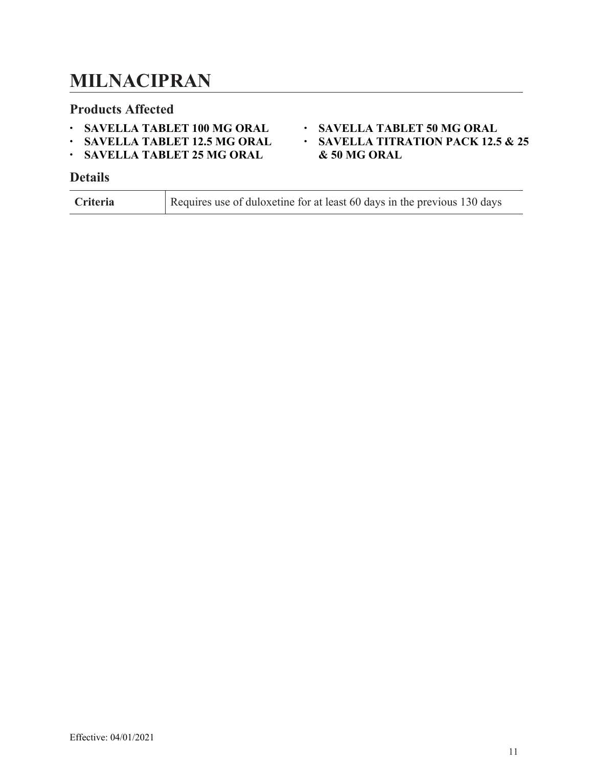### <span id="page-10-0"></span>**MILNACIPRAN**

#### **Products Affected**

- **SAVELLA TABLET 100 MG ORAL**
- **SAVELLA TABLET 12.5 MG ORAL**
- **SAVELLA TABLET 25 MG ORAL**

#### **Details**

| <b>Criteria</b> | Requires use of duloxetine for at least 60 days in the previous 130 days |
|-----------------|--------------------------------------------------------------------------|
|-----------------|--------------------------------------------------------------------------|

#### • **SAVELLA TABLET 50 MG ORAL**

• **SAVELLA TITRATION PACK 12.5 & 25 & 50 MG ORAL**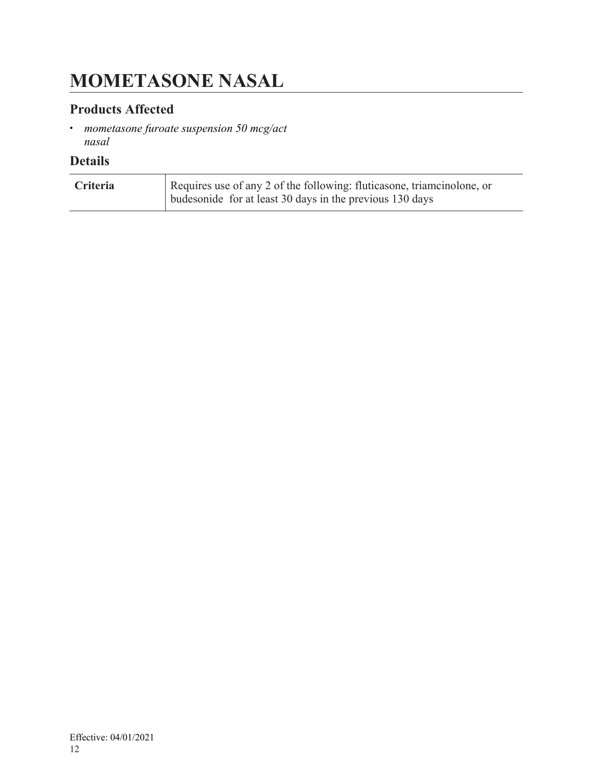# <span id="page-11-0"></span>**MOMETASONE NASAL**

### **Products Affected**

• *mometasone furoate suspension 50 mcg/act nasal*

| <b>Criteria</b> | Requires use of any 2 of the following: fluticasone, triamcinolone, or |
|-----------------|------------------------------------------------------------------------|
|                 | budesonide for at least 30 days in the previous 130 days               |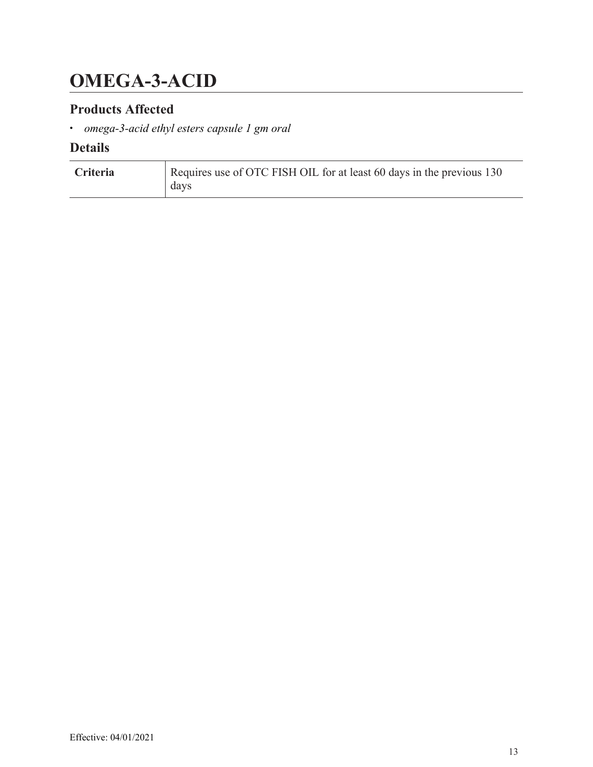# <span id="page-12-0"></span>**OMEGA-3-ACID**

### **Products Affected**

• *omega-3-acid ethyl esters capsule 1 gm oral*

| Criteria | Requires use of OTC FISH OIL for at least 60 days in the previous 130<br>days |
|----------|-------------------------------------------------------------------------------|
|          |                                                                               |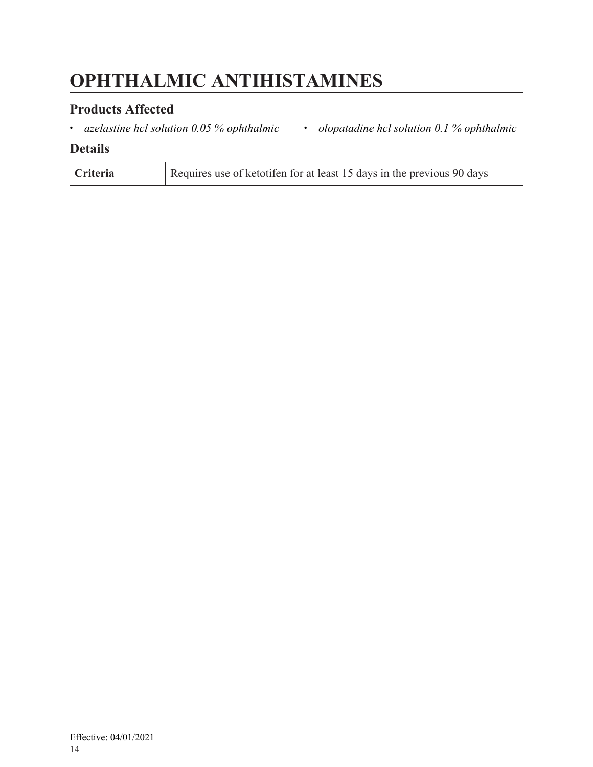# <span id="page-13-0"></span>**OPHTHALMIC ANTIHISTAMINES**

### **Products Affected**

• *azelastine hcl solution 0.05 % ophthalmic* • *olopatadine hcl solution 0.1 % ophthalmic*

| <b>Criteria</b> | Requires use of ketotifen for at least 15 days in the previous 90 days |
|-----------------|------------------------------------------------------------------------|
|-----------------|------------------------------------------------------------------------|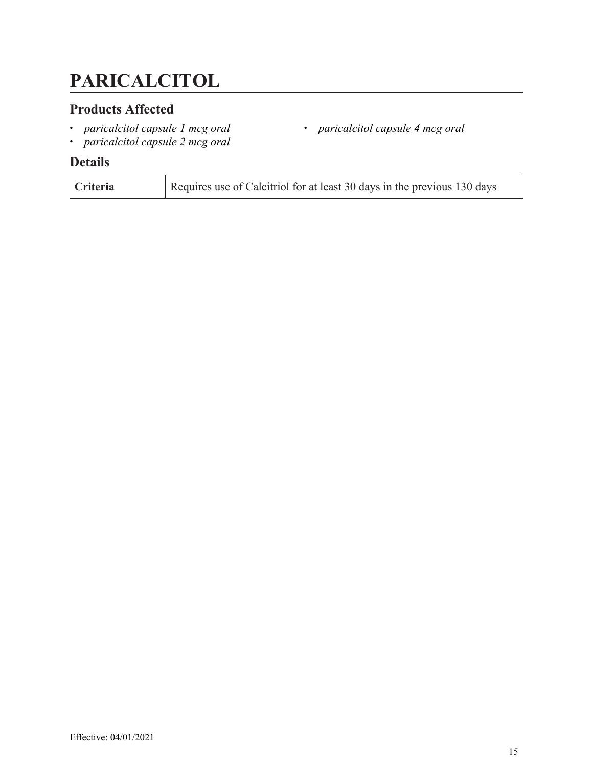# <span id="page-14-0"></span>**PARICALCITOL**

### **Products Affected**

- *paricalcitol capsule 1 mcg oral*
- *paricalcitol capsule 4 mcg oral*
- *paricalcitol capsule 2 mcg oral*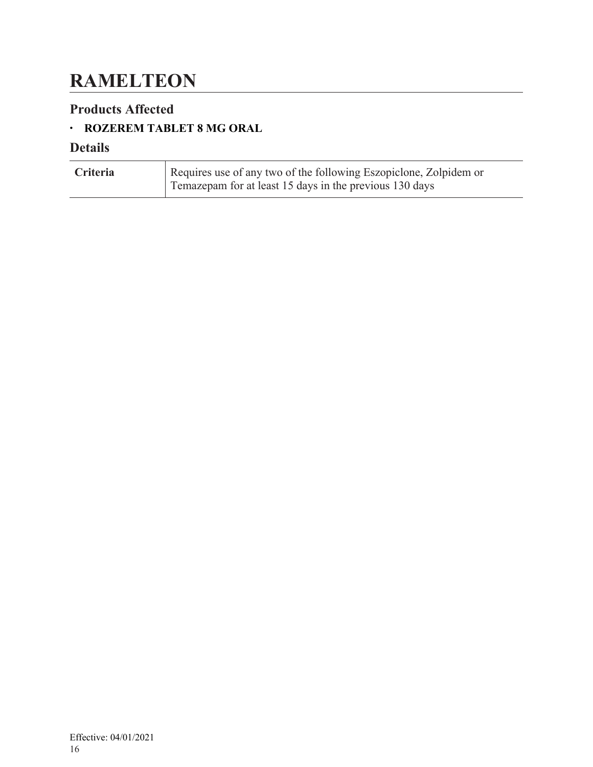## <span id="page-15-0"></span>**RAMELTEON**

### **Products Affected**

### • **ROZEREM TABLET 8 MG ORAL**

| <b>Criteria</b> | Requires use of any two of the following Eszopiclone, Zolpidem or |
|-----------------|-------------------------------------------------------------------|
|                 | Temazepam for at least 15 days in the previous 130 days           |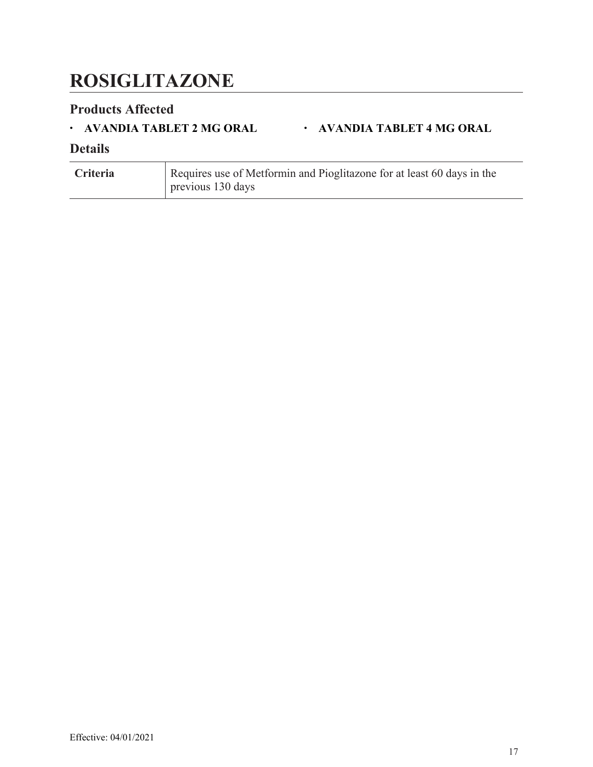# <span id="page-16-0"></span>**ROSIGLITAZONE**

### **Products Affected**

#### • **AVANDIA TABLET 2 MG ORAL** • **AVANDIA TABLET 4 MG ORAL**

| <b>Criteria</b> | Requires use of Metformin and Pioglitazone for at least 60 days in the |
|-----------------|------------------------------------------------------------------------|
|                 | $\vert$ previous 130 days                                              |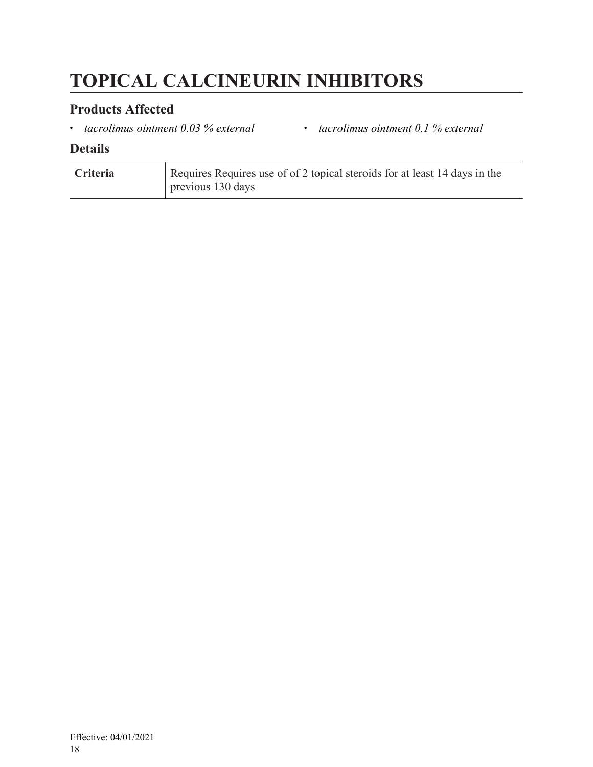# <span id="page-17-0"></span>**TOPICAL CALCINEURIN INHIBITORS**

### **Products Affected**

• *tacrolimus ointment 0.03 % external* • *tacrolimus ointment 0.1 % external*

| <b>Criteria</b> | Requires Requires use of of 2 topical steroids for at least 14 days in the |
|-----------------|----------------------------------------------------------------------------|
|                 | $\vert$ previous 130 days                                                  |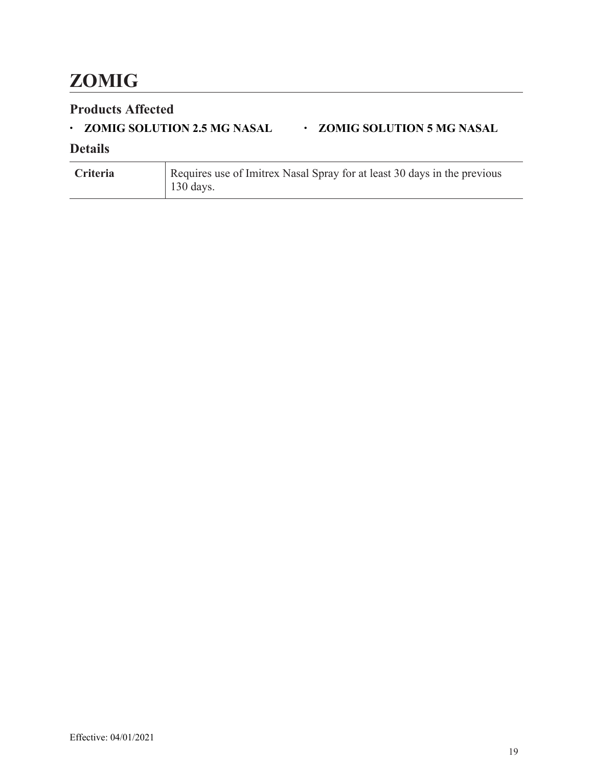# <span id="page-18-0"></span>**ZOMIG**

### **Products Affected**

### • **ZOMIG SOLUTION 2.5 MG NASAL** • **ZOMIG SOLUTION 5 MG NASAL**

| Criteria | Requires use of Imitrex Nasal Spray for at least 30 days in the previous |
|----------|--------------------------------------------------------------------------|
|          | 130 days.                                                                |